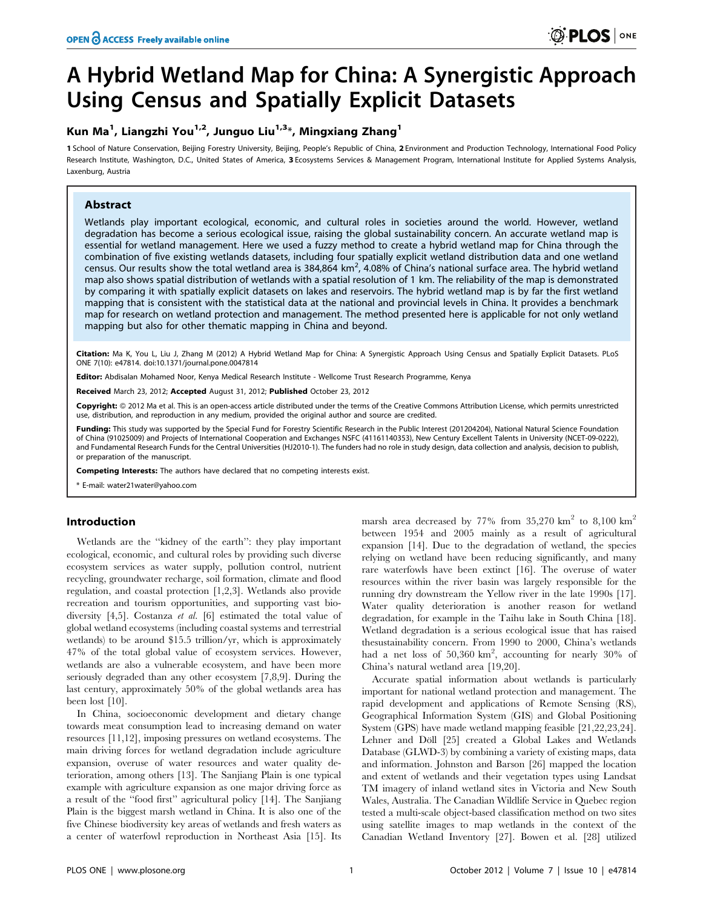# A Hybrid Wetland Map for China: A Synergistic Approach Using Census and Spatially Explicit Datasets

# Kun Ma<sup>1</sup>, Liangzhi You<sup>1,2</sup>, Junguo Liu<sup>1,3</sup>\*, Mingxiang Zhang<sup>1</sup>

1 School of Nature Conservation, Beijing Forestry University, Beijing, People's Republic of China, 2 Environment and Production Technology, International Food Policy Research Institute, Washington, D.C., United States of America, 3 Ecosystems Services & Management Program, International Institute for Applied Systems Analysis, Laxenburg, Austria

# Abstract

Wetlands play important ecological, economic, and cultural roles in societies around the world. However, wetland degradation has become a serious ecological issue, raising the global sustainability concern. An accurate wetland map is essential for wetland management. Here we used a fuzzy method to create a hybrid wetland map for China through the combination of five existing wetlands datasets, including four spatially explicit wetland distribution data and one wetland census. Our results show the total wetland area is 384,864 km<sup>2</sup>, 4.08% of China's national surface area. The hybrid wetland map also shows spatial distribution of wetlands with a spatial resolution of 1 km. The reliability of the map is demonstrated by comparing it with spatially explicit datasets on lakes and reservoirs. The hybrid wetland map is by far the first wetland mapping that is consistent with the statistical data at the national and provincial levels in China. It provides a benchmark map for research on wetland protection and management. The method presented here is applicable for not only wetland mapping but also for other thematic mapping in China and beyond.

Citation: Ma K, You L, Liu J, Zhang M (2012) A Hybrid Wetland Map for China: A Synergistic Approach Using Census and Spatially Explicit Datasets. PLoS ONE 7(10): e47814. doi:10.1371/journal.pone.0047814

Editor: Abdisalan Mohamed Noor, Kenya Medical Research Institute - Wellcome Trust Research Programme, Kenya

Received March 23, 2012; Accepted August 31, 2012; Published October 23, 2012

Copyright: 2012 Ma et al. This is an open-access article distributed under the terms of the Creative Commons Attribution License, which permits unrestricted use, distribution, and reproduction in any medium, provided the original author and source are credited.

Funding: This study was supported by the Special Fund for Forestry Scientific Research in the Public Interest (201204204), National Natural Science Foundation of China (91025009) and Projects of International Cooperation and Exchanges NSFC (41161140353), New Century Excellent Talents in University (NCET-09-0222), and Fundamental Research Funds for the Central Universities (HJ2010-1). The funders had no role in study design, data collection and analysis, decision to publish, or preparation of the manuscript.

Competing Interests: The authors have declared that no competing interests exist.

E-mail: water21water@yahoo.com

# Introduction

Wetlands are the ''kidney of the earth'': they play important ecological, economic, and cultural roles by providing such diverse ecosystem services as water supply, pollution control, nutrient recycling, groundwater recharge, soil formation, climate and flood regulation, and coastal protection [1,2,3]. Wetlands also provide recreation and tourism opportunities, and supporting vast biodiversity [4,5]. Costanza et al. [6] estimated the total value of global wetland ecosystems (including coastal systems and terrestrial wetlands) to be around \$15.5 trillion/yr, which is approximately 47% of the total global value of ecosystem services. However, wetlands are also a vulnerable ecosystem, and have been more seriously degraded than any other ecosystem [7,8,9]. During the last century, approximately 50% of the global wetlands area has been lost [10].

In China, socioeconomic development and dietary change towards meat consumption lead to increasing demand on water resources [11,12], imposing pressures on wetland ecosystems. The main driving forces for wetland degradation include agriculture expansion, overuse of water resources and water quality deterioration, among others [13]. The Sanjiang Plain is one typical example with agriculture expansion as one major driving force as a result of the ''food first'' agricultural policy [14]. The Sanjiang Plain is the biggest marsh wetland in China. It is also one of the five Chinese biodiversity key areas of wetlands and fresh waters as a center of waterfowl reproduction in Northeast Asia [15]. Its

marsh area decreased by 77% from  $35,270$  km<sup>2</sup> to  $8,100$  km<sup>2</sup> between 1954 and 2005 mainly as a result of agricultural expansion [14]. Due to the degradation of wetland, the species relying on wetland have been reducing significantly, and many rare waterfowls have been extinct [16]. The overuse of water resources within the river basin was largely responsible for the running dry downstream the Yellow river in the late 1990s [17]. Water quality deterioration is another reason for wetland degradation, for example in the Taihu lake in South China [18]. Wetland degradation is a serious ecological issue that has raised thesustainability concern. From 1990 to 2000, China's wetlands had a net loss of 50,360  $km^2$ , accounting for nearly 30% of China's natural wetland area [19,20].

Accurate spatial information about wetlands is particularly important for national wetland protection and management. The rapid development and applications of Remote Sensing (RS), Geographical Information System (GIS) and Global Positioning System (GPS) have made wetland mapping feasible [21,22,23,24]. Lehner and Döll [25] created a Global Lakes and Wetlands Database (GLWD-3) by combining a variety of existing maps, data and information. Johnston and Barson [26] mapped the location and extent of wetlands and their vegetation types using Landsat TM imagery of inland wetland sites in Victoria and New South Wales, Australia. The Canadian Wildlife Service in Quebec region tested a multi-scale object-based classification method on two sites using satellite images to map wetlands in the context of the Canadian Wetland Inventory [27]. Bowen et al. [28] utilized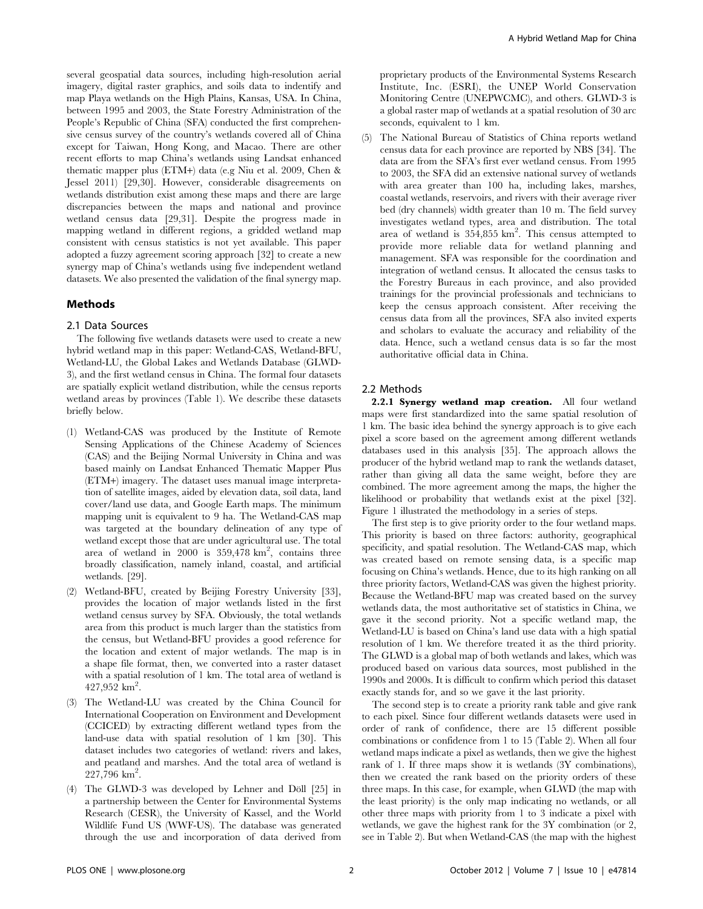several geospatial data sources, including high-resolution aerial imagery, digital raster graphics, and soils data to indentify and map Playa wetlands on the High Plains, Kansas, USA. In China, between 1995 and 2003, the State Forestry Administration of the People's Republic of China (SFA) conducted the first comprehensive census survey of the country's wetlands covered all of China except for Taiwan, Hong Kong, and Macao. There are other recent efforts to map China's wetlands using Landsat enhanced thematic mapper plus (ETM+) data (e.g Niu et al. 2009, Chen & Jessel 2011) [29,30]. However, considerable disagreements on wetlands distribution exist among these maps and there are large discrepancies between the maps and national and province wetland census data [29,31]. Despite the progress made in mapping wetland in different regions, a gridded wetland map consistent with census statistics is not yet available. This paper adopted a fuzzy agreement scoring approach [32] to create a new synergy map of China's wetlands using five independent wetland datasets. We also presented the validation of the final synergy map.

#### Methods

#### 2.1 Data Sources

The following five wetlands datasets were used to create a new hybrid wetland map in this paper: Wetland-CAS, Wetland-BFU, Wetland-LU, the Global Lakes and Wetlands Database (GLWD-3), and the first wetland census in China. The formal four datasets are spatially explicit wetland distribution, while the census reports wetland areas by provinces (Table 1). We describe these datasets briefly below.

- (1) Wetland-CAS was produced by the Institute of Remote Sensing Applications of the Chinese Academy of Sciences (CAS) and the Beijing Normal University in China and was based mainly on Landsat Enhanced Thematic Mapper Plus (ETM+) imagery. The dataset uses manual image interpretation of satellite images, aided by elevation data, soil data, land cover/land use data, and Google Earth maps. The minimum mapping unit is equivalent to 9 ha. The Wetland-CAS map was targeted at the boundary delineation of any type of wetland except those that are under agricultural use. The total area of wetland in 2000 is  $359,478$  km<sup>2</sup>, contains three broadly classification, namely inland, coastal, and artificial wetlands. [29].
- (2) Wetland-BFU, created by Beijing Forestry University [33], provides the location of major wetlands listed in the first wetland census survey by SFA. Obviously, the total wetlands area from this product is much larger than the statistics from the census, but Wetland-BFU provides a good reference for the location and extent of major wetlands. The map is in a shape file format, then, we converted into a raster dataset with a spatial resolution of 1 km. The total area of wetland is  $427,952$  km<sup>2</sup>.
- (3) The Wetland-LU was created by the China Council for International Cooperation on Environment and Development (CCICED) by extracting different wetland types from the land-use data with spatial resolution of 1 km [30]. This dataset includes two categories of wetland: rivers and lakes, and peatland and marshes. And the total area of wetland is  $227,796$  km<sup>2</sup>.
- (4) The GLWD-3 was developed by Lehner and Döll  $[25]$  in a partnership between the Center for Environmental Systems Research (CESR), the University of Kassel, and the World Wildlife Fund US (WWF-US). The database was generated through the use and incorporation of data derived from

proprietary products of the Environmental Systems Research Institute, Inc. (ESRI), the UNEP World Conservation Monitoring Centre (UNEPWCMC), and others. GLWD-3 is a global raster map of wetlands at a spatial resolution of 30 arc seconds, equivalent to 1 km.

(5) The National Bureau of Statistics of China reports wetland census data for each province are reported by NBS [34]. The data are from the SFA's first ever wetland census. From 1995 to 2003, the SFA did an extensive national survey of wetlands with area greater than 100 ha, including lakes, marshes, coastal wetlands, reservoirs, and rivers with their average river bed (dry channels) width greater than 10 m. The field survey investigates wetland types, area and distribution. The total area of wetland is  $354,855$  km<sup>2</sup>. This census attempted to provide more reliable data for wetland planning and management. SFA was responsible for the coordination and integration of wetland census. It allocated the census tasks to the Forestry Bureaus in each province, and also provided trainings for the provincial professionals and technicians to keep the census approach consistent. After receiving the census data from all the provinces, SFA also invited experts and scholars to evaluate the accuracy and reliability of the data. Hence, such a wetland census data is so far the most authoritative official data in China.

#### 2.2 Methods

2.2.1 Synergy wetland map creation. All four wetland maps were first standardized into the same spatial resolution of 1 km. The basic idea behind the synergy approach is to give each pixel a score based on the agreement among different wetlands databases used in this analysis [35]. The approach allows the producer of the hybrid wetland map to rank the wetlands dataset, rather than giving all data the same weight, before they are combined. The more agreement among the maps, the higher the likelihood or probability that wetlands exist at the pixel [32]. Figure 1 illustrated the methodology in a series of steps.

The first step is to give priority order to the four wetland maps. This priority is based on three factors: authority, geographical specificity, and spatial resolution. The Wetland-CAS map, which was created based on remote sensing data, is a specific map focusing on China's wetlands. Hence, due to its high ranking on all three priority factors, Wetland-CAS was given the highest priority. Because the Wetland-BFU map was created based on the survey wetlands data, the most authoritative set of statistics in China, we gave it the second priority. Not a specific wetland map, the Wetland-LU is based on China's land use data with a high spatial resolution of 1 km. We therefore treated it as the third priority. The GLWD is a global map of both wetlands and lakes, which was produced based on various data sources, most published in the 1990s and 2000s. It is difficult to confirm which period this dataset exactly stands for, and so we gave it the last priority.

The second step is to create a priority rank table and give rank to each pixel. Since four different wetlands datasets were used in order of rank of confidence, there are 15 different possible combinations or confidence from 1 to 15 (Table 2). When all four wetland maps indicate a pixel as wetlands, then we give the highest rank of 1. If three maps show it is wetlands (3Y combinations), then we created the rank based on the priority orders of these three maps. In this case, for example, when GLWD (the map with the least priority) is the only map indicating no wetlands, or all other three maps with priority from 1 to 3 indicate a pixel with wetlands, we gave the highest rank for the 3Y combination (or 2, see in Table 2). But when Wetland-CAS (the map with the highest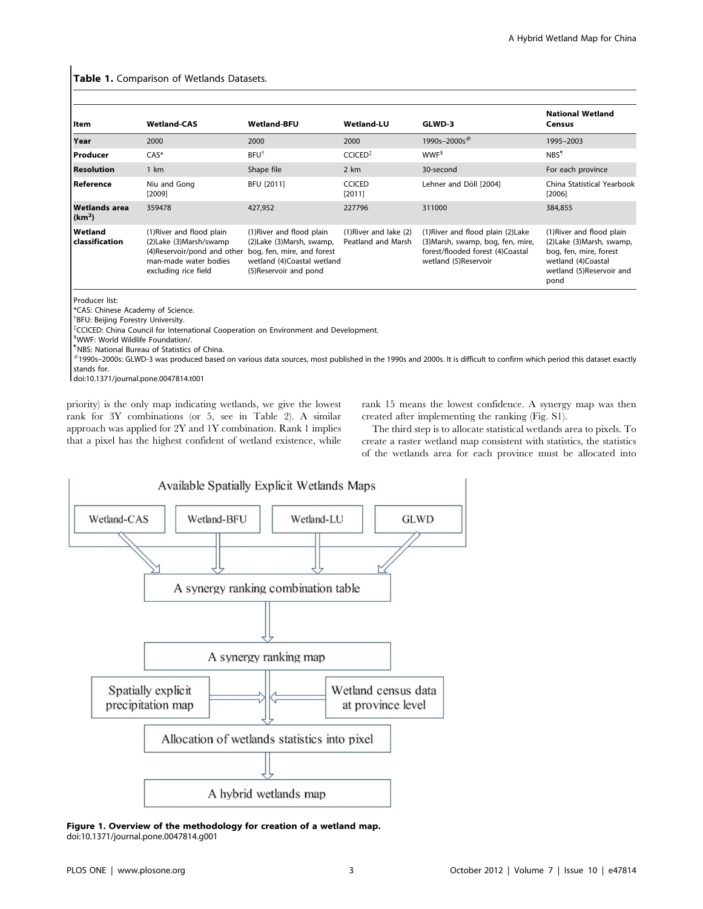#### Table 1. Comparison of Wetlands Datasets.

| Item                                | <b>Wetland-CAS</b>                                                                                                                                                | <b>Wetland-BFU</b>                                                                                              | <b>Wetland-LU</b>                                | GLWD-3                                                                                                                              | <b>National Wetland</b><br>Census                                                                                                           |  |
|-------------------------------------|-------------------------------------------------------------------------------------------------------------------------------------------------------------------|-----------------------------------------------------------------------------------------------------------------|--------------------------------------------------|-------------------------------------------------------------------------------------------------------------------------------------|---------------------------------------------------------------------------------------------------------------------------------------------|--|
| Year                                | 2000                                                                                                                                                              | 2000                                                                                                            | 2000                                             | 1990s-2000s#                                                                                                                        | 1995-2003                                                                                                                                   |  |
| Producer                            | $CAS^*$                                                                                                                                                           | <b>BFU<sup>†</sup></b>                                                                                          | <b>CCICED</b> <sup>#</sup>                       | WWF <sup>§</sup>                                                                                                                    | NBS <sup>1</sup>                                                                                                                            |  |
| <b>Resolution</b>                   | 1 km                                                                                                                                                              | Shape file                                                                                                      | 2 km                                             | 30-second                                                                                                                           | For each province                                                                                                                           |  |
| Reference                           | Niu and Gong<br>[2009]                                                                                                                                            | <b>BFU [2011]</b>                                                                                               | <b>CCICED</b><br>[2011]                          | Lehner and Döll [2004]                                                                                                              | China Statistical Yearbook<br>[2006]                                                                                                        |  |
| Wetlands area<br>(km <sup>2</sup> ) | 359478                                                                                                                                                            | 427.952                                                                                                         | 227796                                           | 311000                                                                                                                              | 384,855                                                                                                                                     |  |
| Wetland<br>classification           | (1) River and flood plain<br>(2) Lake (3) Marsh/swamp<br>(4) Reservoir/pond and other bog, fen, mire, and forest<br>man-made water bodies<br>excluding rice field | (1) River and flood plain<br>(2) Lake (3) Marsh, swamp,<br>wetland (4)Coastal wetland<br>(5) Reservoir and pond | $(1)$ River and lake $(2)$<br>Peatland and Marsh | (1) River and flood plain (2) Lake<br>(3) Marsh, swamp, bog, fen, mire,<br>forest/flooded forest (4)Coastal<br>wetland (5)Reservoir | (1) River and flood plain<br>(2) Lake (3) Marsh, swamp,<br>bog, fen, mire, forest<br>wetland (4)Coastal<br>wetland (5)Reservoir and<br>pond |  |

Producer list:

\*CAS: Chinese Academy of Science.

{ BFU: Beijing Forestry University.

{ CCICED: China Council for International Cooperation on Environment and Development.

<sup>§</sup>WWF: World Wildlife Foundation/.

" NBS: National Bureau of Statistics of China.

*#*1990s–2000s: GLWD-3 was produced based on various data sources, most published in the 1990s and 2000s. It is difficult to confirm which period this dataset exactly stands for.

doi:10.1371/journal.pone.0047814.t001

priority) is the only map indicating wetlands, we give the lowest rank for 3Y combinations (or 5, see in Table 2). A similar approach was applied for 2Y and 1Y combination. Rank 1 implies that a pixel has the highest confident of wetland existence, while rank 15 means the lowest confidence. A synergy map was then created after implementing the ranking (Fig. S1).

The third step is to allocate statistical wetlands area to pixels. To create a raster wetland map consistent with statistics, the statistics of the wetlands area for each province must be allocated into



Figure 1. Overview of the methodology for creation of a wetland map. doi:10.1371/journal.pone.0047814.g001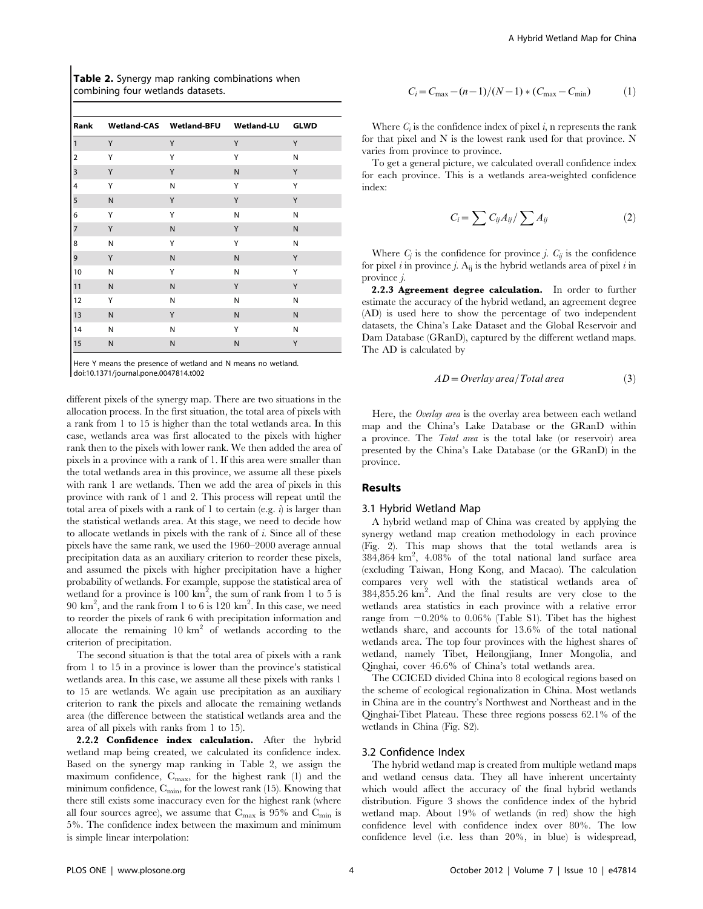Table 2. Synergy map ranking combinations when combining four wetlands datasets.

| Rank                    |              | Wetland-CAS Wetland-BFU Wetland-LU |              | <b>GLWD</b> |
|-------------------------|--------------|------------------------------------|--------------|-------------|
| $\mathbf{1}$            | Y            | Y                                  | Υ            | Υ           |
| $\overline{2}$          | Υ            | Y                                  | Υ            | N           |
| $\overline{\mathbf{3}}$ | Υ            | Y                                  | $\mathsf{N}$ | Υ           |
| 4                       | Υ            | N                                  | Υ            | Υ           |
| 5                       | $\mathsf{N}$ | Y                                  | Y            | Y           |
| 6                       | Υ            | Y                                  | N            | N           |
| 7                       | Υ            | ${\sf N}$                          | Y            | N           |
| 8                       | ${\sf N}$    | Y                                  | Υ            | N           |
| 9                       | Y            | ${\sf N}$                          | $\mathsf{N}$ | Υ           |
| 10                      | N            | Y                                  | Ν            | Υ           |
| $\overline{11}$         | ${\sf N}$    | ${\sf N}$                          | Υ            | Υ           |
| 12                      | Y            | N                                  | N            | N           |
| 13                      | ${\sf N}$    | Y                                  | $\mathsf{N}$ | N           |
| 14                      | N            | N                                  | Y            | N           |
| 15                      | N            | ${\sf N}$                          | N            | Y           |

Here Y means the presence of wetland and N means no wetland. doi:10.1371/journal.pone.0047814.t002

different pixels of the synergy map. There are two situations in the allocation process. In the first situation, the total area of pixels with a rank from 1 to 15 is higher than the total wetlands area. In this case, wetlands area was first allocated to the pixels with higher rank then to the pixels with lower rank. We then added the area of pixels in a province with a rank of 1. If this area were smaller than the total wetlands area in this province, we assume all these pixels with rank 1 are wetlands. Then we add the area of pixels in this province with rank of 1 and 2. This process will repeat until the total area of pixels with a rank of 1 to certain (e.g.  $i$ ) is larger than the statistical wetlands area. At this stage, we need to decide how to allocate wetlands in pixels with the rank of  $i$ . Since all of these pixels have the same rank, we used the 1960–2000 average annual precipitation data as an auxiliary criterion to reorder these pixels, and assumed the pixels with higher precipitation have a higher probability of wetlands. For example, suppose the statistical area of wetland for a province is  $100 \text{ km}^2$ , the sum of rank from 1 to 5 is 90 km2 , and the rank from 1 to 6 is 120 km2 . In this case, we need to reorder the pixels of rank 6 with precipitation information and allocate the remaining  $10 \text{ km}^2$  of wetlands according to the criterion of precipitation.

The second situation is that the total area of pixels with a rank from 1 to 15 in a province is lower than the province's statistical wetlands area. In this case, we assume all these pixels with ranks 1 to 15 are wetlands. We again use precipitation as an auxiliary criterion to rank the pixels and allocate the remaining wetlands area (the difference between the statistical wetlands area and the area of all pixels with ranks from 1 to 15).

2.2.2 Confidence index calculation. After the hybrid wetland map being created, we calculated its confidence index. Based on the synergy map ranking in Table 2, we assign the maximum confidence,  $C_{\text{max}}$ , for the highest rank (1) and the minimum confidence,  $C_{\text{min}}$ , for the lowest rank (15). Knowing that there still exists some inaccuracy even for the highest rank (where all four sources agree), we assume that  $C_{\text{max}}$  is 95% and  $C_{\text{min}}$  is 5%. The confidence index between the maximum and minimum is simple linear interpolation:

$$
C_i = C_{\text{max}} - (n-1)/(N-1) * (C_{\text{max}} - C_{\text{min}})
$$
 (1)

Where  $C_i$  is the confidence index of pixel i, n represents the rank for that pixel and N is the lowest rank used for that province. N varies from province to province.

To get a general picture, we calculated overall confidence index for each province. This is a wetlands area-weighted confidence index:

$$
C_i = \sum C_{ij} A_{ij} / \sum A_{ij}
$$
 (2)

Where  $C_i$  is the confidence for province j.  $C_{ii}$  is the confidence for pixel i in province j.  $A_{ii}$  is the hybrid wetlands area of pixel i in province j.

2.2.3 Agreement degree calculation. In order to further estimate the accuracy of the hybrid wetland, an agreement degree (AD) is used here to show the percentage of two independent datasets, the China's Lake Dataset and the Global Reservoir and Dam Database (GRanD), captured by the different wetland maps. The AD is calculated by

$$
AD = Overlay area/Total area
$$
 (3)

Here, the *Overlay area* is the overlay area between each wetland map and the China's Lake Database or the GRanD within a province. The Total area is the total lake (or reservoir) area presented by the China's Lake Database (or the GRanD) in the province.

#### Results

#### 3.1 Hybrid Wetland Map

A hybrid wetland map of China was created by applying the synergy wetland map creation methodology in each province (Fig. 2). This map shows that the total wetlands area is  $384,864$  km<sup>2</sup>,  $4.08\%$  of the total national land surface area (excluding Taiwan, Hong Kong, and Macao). The calculation compares very well with the statistical wetlands area of  $384,855.26$  km<sup>2</sup>. And the final results are very close to the wetlands area statistics in each province with a relative error range from  $-0.20\%$  to 0.06% (Table S1). Tibet has the highest wetlands share, and accounts for 13.6% of the total national wetlands area. The top four provinces with the highest shares of wetland, namely Tibet, Heilongjiang, Inner Mongolia, and Qinghai, cover 46.6% of China's total wetlands area.

The CCICED divided China into 8 ecological regions based on the scheme of ecological regionalization in China. Most wetlands in China are in the country's Northwest and Northeast and in the Qinghai-Tibet Plateau. These three regions possess 62.1% of the wetlands in China (Fig. S2).

#### 3.2 Confidence Index

The hybrid wetland map is created from multiple wetland maps and wetland census data. They all have inherent uncertainty which would affect the accuracy of the final hybrid wetlands distribution. Figure 3 shows the confidence index of the hybrid wetland map. About 19% of wetlands (in red) show the high confidence level with confidence index over 80%. The low confidence level (i.e. less than 20%, in blue) is widespread,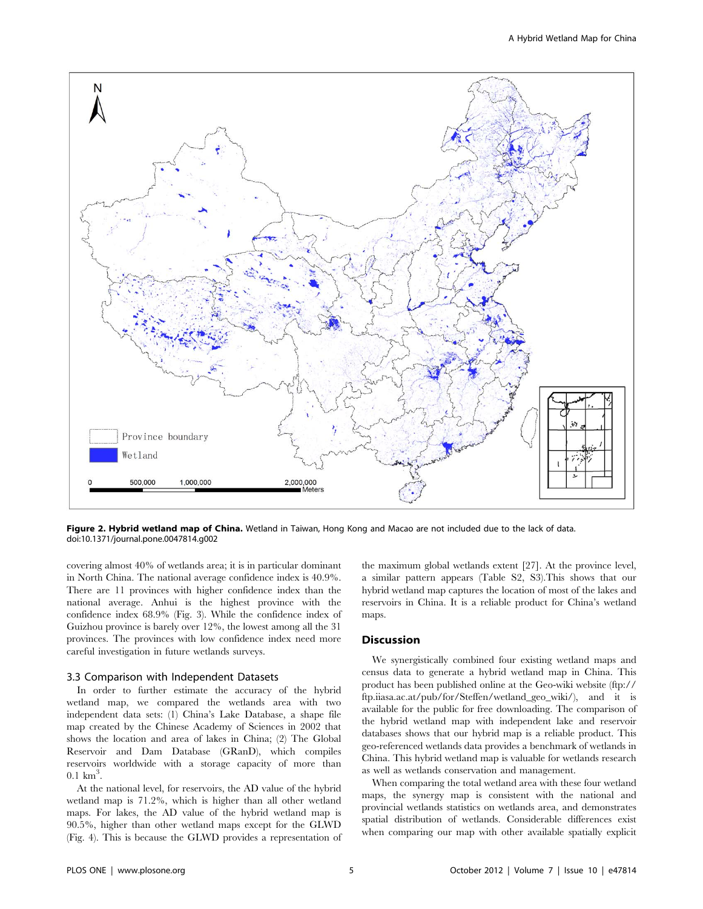

Figure 2. Hybrid wetland map of China. Wetland in Taiwan, Hong Kong and Macao are not included due to the lack of data. doi:10.1371/journal.pone.0047814.g002

covering almost 40% of wetlands area; it is in particular dominant in North China. The national average confidence index is 40.9%. There are 11 provinces with higher confidence index than the national average. Anhui is the highest province with the confidence index 68.9% (Fig. 3). While the confidence index of Guizhou province is barely over 12%, the lowest among all the 31 provinces. The provinces with low confidence index need more careful investigation in future wetlands surveys.

#### 3.3 Comparison with Independent Datasets

In order to further estimate the accuracy of the hybrid wetland map, we compared the wetlands area with two independent data sets: (1) China's Lake Database, a shape file map created by the Chinese Academy of Sciences in 2002 that shows the location and area of lakes in China; (2) The Global Reservoir and Dam Database (GRanD), which compiles reservoirs worldwide with a storage capacity of more than  $0.1 \text{ km}^3$ .

At the national level, for reservoirs, the AD value of the hybrid wetland map is 71.2%, which is higher than all other wetland maps. For lakes, the AD value of the hybrid wetland map is 90.5%, higher than other wetland maps except for the GLWD (Fig. 4). This is because the GLWD provides a representation of the maximum global wetlands extent [27]. At the province level, a similar pattern appears (Table S2, S3).This shows that our hybrid wetland map captures the location of most of the lakes and reservoirs in China. It is a reliable product for China's wetland maps.

#### Discussion

We synergistically combined four existing wetland maps and census data to generate a hybrid wetland map in China. This product has been published online at the Geo-wiki website (ftp:// ftp.iiasa.ac.at/pub/for/Steffen/wetland\_geo\_wiki/), and it is available for the public for free downloading. The comparison of the hybrid wetland map with independent lake and reservoir databases shows that our hybrid map is a reliable product. This geo-referenced wetlands data provides a benchmark of wetlands in China. This hybrid wetland map is valuable for wetlands research as well as wetlands conservation and management.

When comparing the total wetland area with these four wetland maps, the synergy map is consistent with the national and provincial wetlands statistics on wetlands area, and demonstrates spatial distribution of wetlands. Considerable differences exist when comparing our map with other available spatially explicit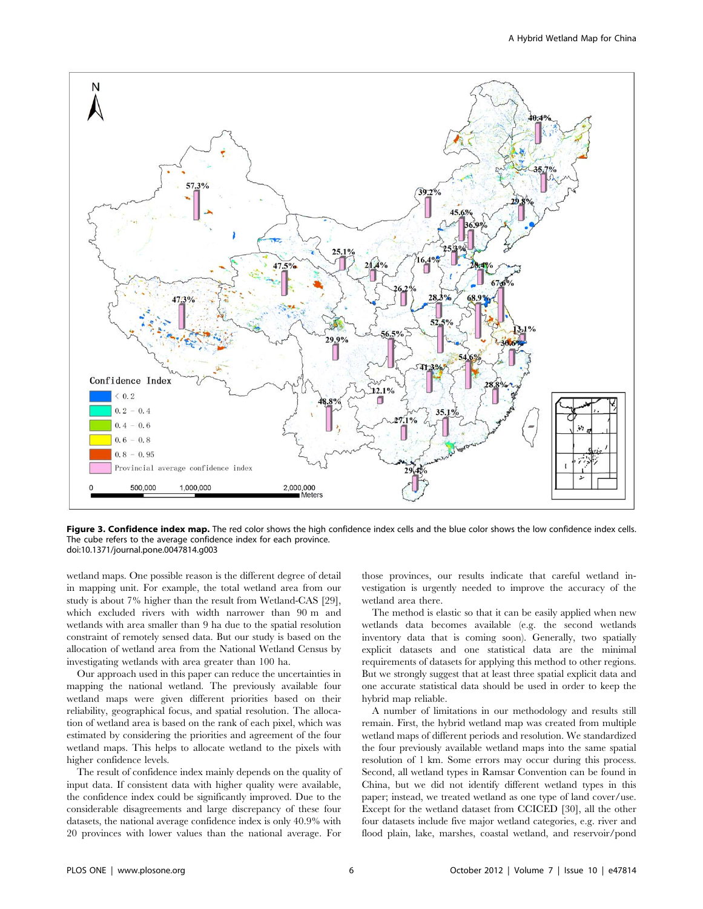

Figure 3. Confidence index map. The red color shows the high confidence index cells and the blue color shows the low confidence index cells. The cube refers to the average confidence index for each province. doi:10.1371/journal.pone.0047814.g003

wetland maps. One possible reason is the different degree of detail in mapping unit. For example, the total wetland area from our study is about 7% higher than the result from Wetland-CAS [29], which excluded rivers with width narrower than 90 m and wetlands with area smaller than 9 ha due to the spatial resolution constraint of remotely sensed data. But our study is based on the allocation of wetland area from the National Wetland Census by investigating wetlands with area greater than 100 ha.

Our approach used in this paper can reduce the uncertainties in mapping the national wetland. The previously available four wetland maps were given different priorities based on their reliability, geographical focus, and spatial resolution. The allocation of wetland area is based on the rank of each pixel, which was estimated by considering the priorities and agreement of the four wetland maps. This helps to allocate wetland to the pixels with higher confidence levels.

The result of confidence index mainly depends on the quality of input data. If consistent data with higher quality were available, the confidence index could be significantly improved. Due to the considerable disagreements and large discrepancy of these four datasets, the national average confidence index is only 40.9% with 20 provinces with lower values than the national average. For

those provinces, our results indicate that careful wetland investigation is urgently needed to improve the accuracy of the wetland area there.

The method is elastic so that it can be easily applied when new wetlands data becomes available (e.g. the second wetlands inventory data that is coming soon). Generally, two spatially explicit datasets and one statistical data are the minimal requirements of datasets for applying this method to other regions. But we strongly suggest that at least three spatial explicit data and one accurate statistical data should be used in order to keep the hybrid map reliable.

A number of limitations in our methodology and results still remain. First, the hybrid wetland map was created from multiple wetland maps of different periods and resolution. We standardized the four previously available wetland maps into the same spatial resolution of 1 km. Some errors may occur during this process. Second, all wetland types in Ramsar Convention can be found in China, but we did not identify different wetland types in this paper; instead, we treated wetland as one type of land cover/use. Except for the wetland dataset from CCICED [30], all the other four datasets include five major wetland categories, e.g. river and flood plain, lake, marshes, coastal wetland, and reservoir/pond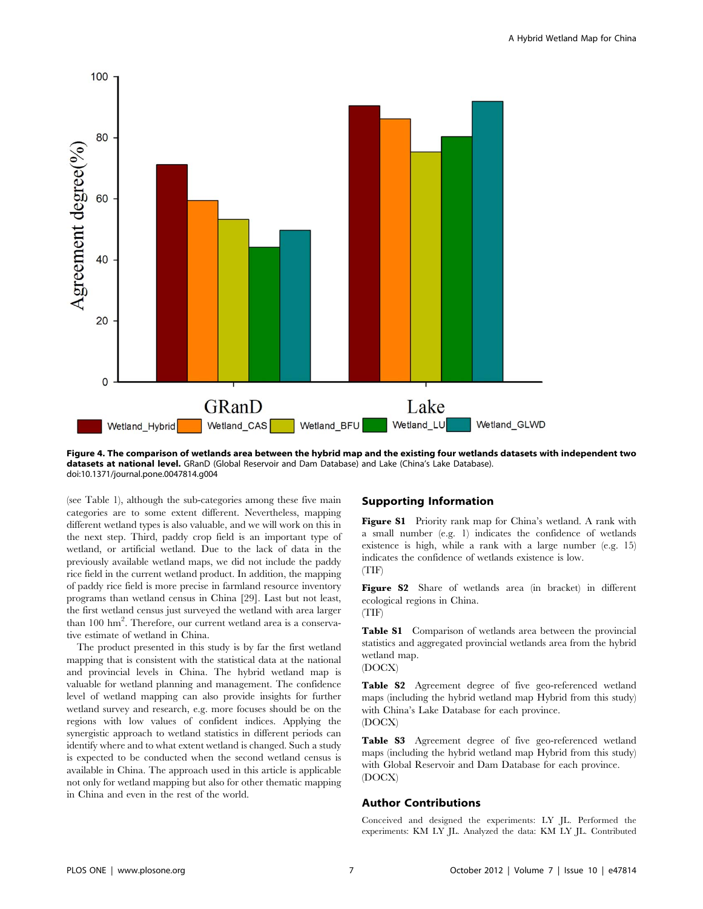

Figure 4. The comparison of wetlands area between the hybrid map and the existing four wetlands datasets with independent two datasets at national level. GRanD (Global Reservoir and Dam Database) and Lake (China's Lake Database). doi:10.1371/journal.pone.0047814.g004

(see Table 1), although the sub-categories among these five main categories are to some extent different. Nevertheless, mapping different wetland types is also valuable, and we will work on this in the next step. Third, paddy crop field is an important type of wetland, or artificial wetland. Due to the lack of data in the previously available wetland maps, we did not include the paddy rice field in the current wetland product. In addition, the mapping of paddy rice field is more precise in farmland resource inventory programs than wetland census in China [29]. Last but not least, the first wetland census just surveyed the wetland with area larger than 100 hm<sup>2</sup>. Therefore, our current wetland area is a conservative estimate of wetland in China.

The product presented in this study is by far the first wetland mapping that is consistent with the statistical data at the national and provincial levels in China. The hybrid wetland map is valuable for wetland planning and management. The confidence level of wetland mapping can also provide insights for further wetland survey and research, e.g. more focuses should be on the regions with low values of confident indices. Applying the synergistic approach to wetland statistics in different periods can identify where and to what extent wetland is changed. Such a study is expected to be conducted when the second wetland census is available in China. The approach used in this article is applicable not only for wetland mapping but also for other thematic mapping in China and even in the rest of the world.

# Supporting Information

Figure S1 Priority rank map for China's wetland. A rank with a small number (e.g. 1) indicates the confidence of wetlands existence is high, while a rank with a large number (e.g. 15) indicates the confidence of wetlands existence is low. (TIF)

Figure S2 Share of wetlands area (in bracket) in different ecological regions in China. (TIF)

Table S1 Comparison of wetlands area between the provincial statistics and aggregated provincial wetlands area from the hybrid wetland map.

(DOCX)

Table S2 Agreement degree of five geo-referenced wetland maps (including the hybrid wetland map Hybrid from this study) with China's Lake Database for each province. (DOCX)

Table S3 Agreement degree of five geo-referenced wetland maps (including the hybrid wetland map Hybrid from this study) with Global Reservoir and Dam Database for each province. (DOCX)

# Author Contributions

Conceived and designed the experiments: LY JL. Performed the experiments: KM LY JL. Analyzed the data: KM LY JL. Contributed